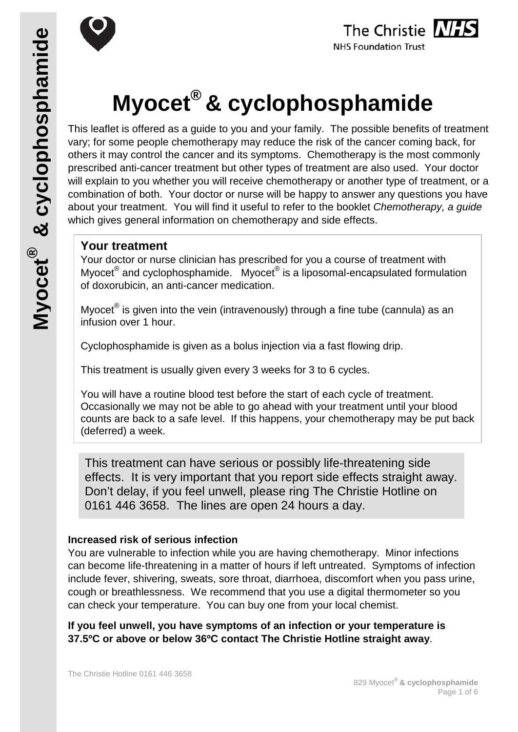



# **Myocet® & cyclophosphamide**

This leaflet is offered as a guide to you and your family. The possible benefits of treatment vary; for some people chemotherapy may reduce the risk of the cancer coming back, for others it may control the cancer and its symptoms. Chemotherapy is the most commonly prescribed anti-cancer treatment but other types of treatment are also used. Your doctor will explain to you whether you will receive chemotherapy or another type of treatment, or a combination of both. Your doctor or nurse will be happy to answer any questions you have about your treatment. You will find it useful to refer to the booklet *Chemotherapy, a guide* which gives general information on chemotherapy and side effects.

# **Your treatment**

Your doctor or nurse clinician has prescribed for you a course of treatment with Myocet<sup>®</sup> and cyclophosphamide. Myocet<sup>®</sup> is a liposomal-encapsulated formulation of doxorubicin, an anti-cancer medication.

Myocet $^{\circledR}$  is given into the vein (intravenously) through a fine tube (cannula) as an infusion over 1 hour.

Cyclophosphamide is given as a bolus injection via a fast flowing drip.

This treatment is usually given every 3 weeks for 3 to 6 cycles.

You will have a routine blood test before the start of each cycle of treatment. Occasionally we may not be able to go ahead with your treatment until your blood counts are back to a safe level. If this happens, your chemotherapy may be put back (deferred) a week.

This treatment can have serious or possibly life-threatening side effects. It is very important that you report side effects straight away. Don't delay, if you feel unwell, please ring The Christie Hotline on 0161 446 3658. The lines are open 24 hours a day.

#### **Increased risk of serious infection**

You are vulnerable to infection while you are having chemotherapy. Minor infections can become life-threatening in a matter of hours if left untreated. Symptoms of infection include fever, shivering, sweats, sore throat, diarrhoea, discomfort when you pass urine, cough or breathlessness. We recommend that you use a digital thermometer so you can check your temperature. You can buy one from your local chemist.

**If you feel unwell, you have symptoms of an infection or your temperature is 37.5ºC or above or below 36ºC contact The Christie Hotline straight away**.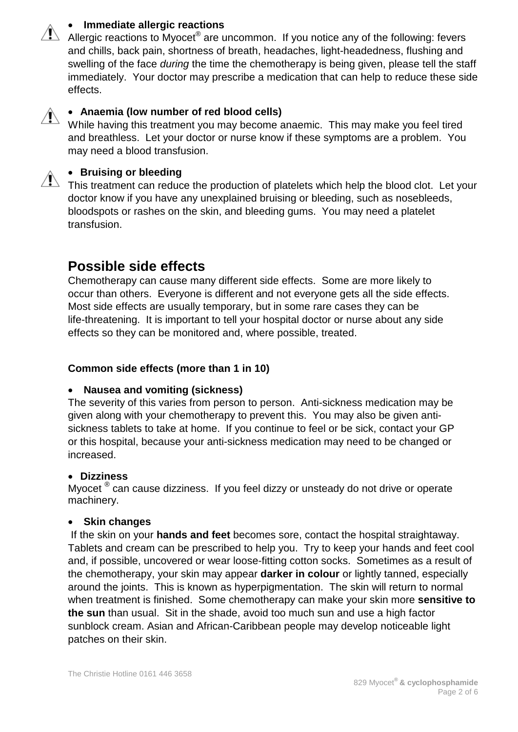## • **Immediate allergic reactions**





## • **Anaemia (low number of red blood cells)**

While having this treatment you may become anaemic. This may make you feel tired and breathless. Let your doctor or nurse know if these symptoms are a problem. You may need a blood transfusion.



#### • **Bruising or bleeding**

This treatment can reduce the production of platelets which help the blood clot. Let your doctor know if you have any unexplained bruising or bleeding, such as nosebleeds, bloodspots or rashes on the skin, and bleeding gums. You may need a platelet transfusion.

# **Possible side effects**

Chemotherapy can cause many different side effects. Some are more likely to occur than others. Everyone is different and not everyone gets all the side effects. Most side effects are usually temporary, but in some rare cases they can be life-threatening. It is important to tell your hospital doctor or nurse about any side effects so they can be monitored and, where possible, treated.

#### **Common side effects (more than 1 in 10)**

#### • **Nausea and vomiting (sickness)**

The severity of this varies from person to person. Anti-sickness medication may be given along with your chemotherapy to prevent this. You may also be given antisickness tablets to take at home. If you continue to feel or be sick, contact your GP or this hospital, because your anti-sickness medication may need to be changed or increased.

#### • **Dizziness**

Myocet <sup>®</sup> can cause dizziness. If you feel dizzy or unsteady do not drive or operate machinery.

#### • **Skin changes**

If the skin on your **hands and feet** becomes sore, contact the hospital straightaway. Tablets and cream can be prescribed to help you. Try to keep your hands and feet cool and, if possible, uncovered or wear loose-fitting cotton socks. Sometimes as a result of the chemotherapy, your skin may appear **darker in colour** or lightly tanned, especially around the joints. This is known as hyperpigmentation. The skin will return to normal when treatment is finished. Some chemotherapy can make your skin more **sensitive to the sun** than usual. Sit in the shade, avoid too much sun and use a high factor sunblock cream. Asian and African-Caribbean people may develop noticeable light patches on their skin.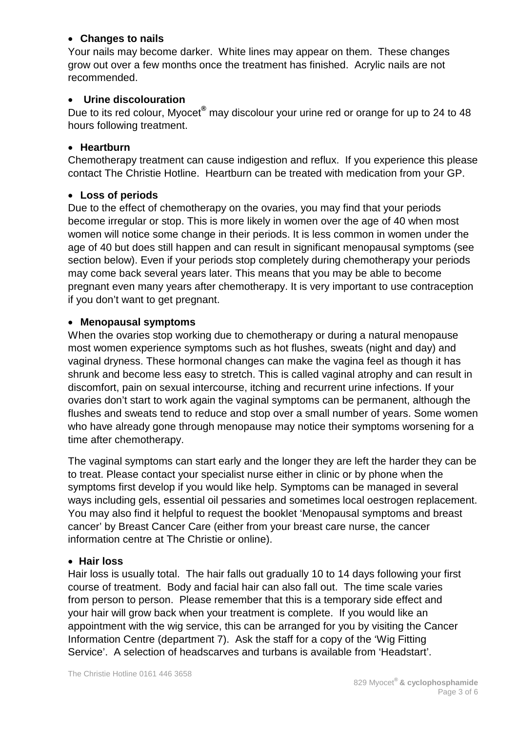#### • **Changes to nails**

Your nails may become darker. White lines may appear on them. These changes grow out over a few months once the treatment has finished. Acrylic nails are not recommended.

## • **Urine discolouration**

Due to its red colour, Myocet**®** may discolour your urine red or orange for up to 24 to 48 hours following treatment.

#### • **Heartburn**

Chemotherapy treatment can cause indigestion and reflux. If you experience this please contact The Christie Hotline. Heartburn can be treated with medication from your GP.

#### • **Loss of periods**

Due to the effect of chemotherapy on the ovaries, you may find that your periods become irregular or stop. This is more likely in women over the age of 40 when most women will notice some change in their periods. It is less common in women under the age of 40 but does still happen and can result in significant menopausal symptoms (see section below). Even if your periods stop completely during chemotherapy your periods may come back several years later. This means that you may be able to become pregnant even many years after chemotherapy. It is very important to use contraception if you don't want to get pregnant.

#### • **Menopausal symptoms**

When the ovaries stop working due to chemotherapy or during a natural menopause most women experience symptoms such as hot flushes, sweats (night and day) and vaginal dryness. These hormonal changes can make the vagina feel as though it has shrunk and become less easy to stretch. This is called vaginal atrophy and can result in discomfort, pain on sexual intercourse, itching and recurrent urine infections. If your ovaries don't start to work again the vaginal symptoms can be permanent, although the flushes and sweats tend to reduce and stop over a small number of years. Some women who have already gone through menopause may notice their symptoms worsening for a time after chemotherapy.

The vaginal symptoms can start early and the longer they are left the harder they can be to treat. Please contact your specialist nurse either in clinic or by phone when the symptoms first develop if you would like help. Symptoms can be managed in several ways including gels, essential oil pessaries and sometimes local oestrogen replacement. You may also find it helpful to request the booklet 'Menopausal symptoms and breast cancer' by Breast Cancer Care (either from your breast care nurse, the cancer information centre at The Christie or online).

#### • **Hair loss**

Hair loss is usually total. The hair falls out gradually 10 to 14 days following your first course of treatment. Body and facial hair can also fall out. The time scale varies from person to person. Please remember that this is a temporary side effect and your hair will grow back when your treatment is complete. If you would like an appointment with the wig service, this can be arranged for you by visiting the Cancer Information Centre (department 7). Ask the staff for a copy of the 'Wig Fitting Service'. A selection of headscarves and turbans is available from 'Headstart'.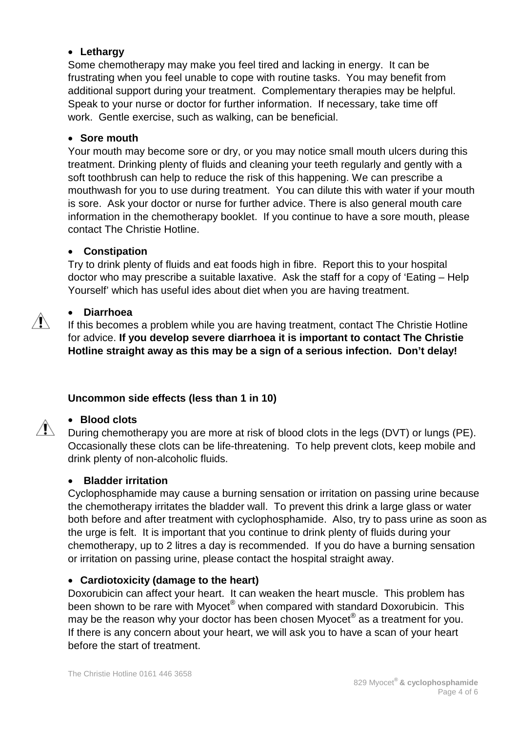## • **Lethargy**

Some chemotherapy may make you feel tired and lacking in energy. It can be frustrating when you feel unable to cope with routine tasks. You may benefit from additional support during your treatment. Complementary therapies may be helpful. Speak to your nurse or doctor for further information. If necessary, take time off work. Gentle exercise, such as walking, can be beneficial.

#### • **Sore mouth**

Your mouth may become sore or dry, or you may notice small mouth ulcers during this treatment. Drinking plenty of fluids and cleaning your teeth regularly and gently with a soft toothbrush can help to reduce the risk of this happening. We can prescribe a mouthwash for you to use during treatment. You can dilute this with water if your mouth is sore. Ask your doctor or nurse for further advice. There is also general mouth care information in the chemotherapy booklet. If you continue to have a sore mouth, please contact The Christie Hotline.

#### • **Constipation**

Try to drink plenty of fluids and eat foods high in fibre. Report this to your hospital doctor who may prescribe a suitable laxative. Ask the staff for a copy of 'Eating – Help Yourself' which has useful ides about diet when you are having treatment.

#### • **Diarrhoea**

If this becomes a problem while you are having treatment, contact The Christie Hotline for advice. **If you develop severe diarrhoea it is important to contact The Christie Hotline straight away as this may be a sign of a serious infection. Don't delay!**

## **Uncommon side effects (less than 1 in 10)**

#### • **Blood clots**

During chemotherapy you are more at risk of blood clots in the legs (DVT) or lungs (PE). Occasionally these clots can be life-threatening. To help prevent clots, keep mobile and drink plenty of non-alcoholic fluids.

#### • **Bladder irritation**

Cyclophosphamide may cause a burning sensation or irritation on passing urine because the chemotherapy irritates the bladder wall. To prevent this drink a large glass or water both before and after treatment with cyclophosphamide. Also, try to pass urine as soon as the urge is felt. It is important that you continue to drink plenty of fluids during your chemotherapy, up to 2 litres a day is recommended. If you do have a burning sensation or irritation on passing urine, please contact the hospital straight away.

#### • **Cardiotoxicity (damage to the heart)**

Doxorubicin can affect your heart. It can weaken the heart muscle. This problem has been shown to be rare with Myocet<sup>®</sup> when compared with standard Doxorubicin. This may be the reason why your doctor has been chosen Myocet® as a treatment for you. If there is any concern about your heart, we will ask you to have a scan of your heart before the start of treatment.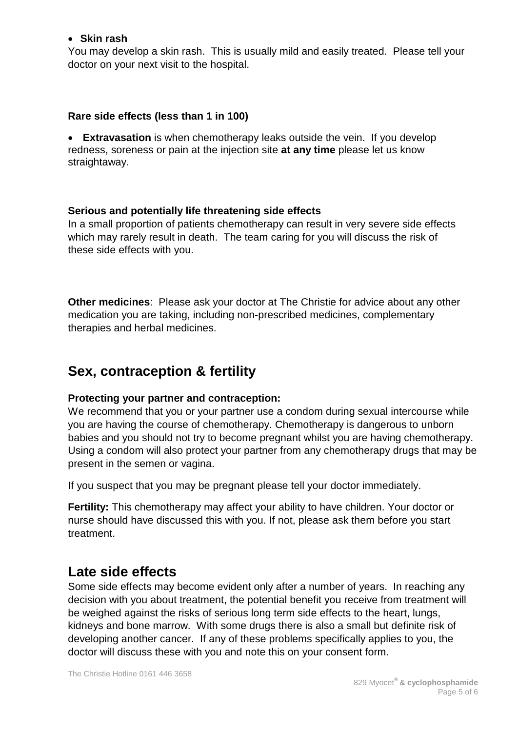#### • **Skin rash**

You may develop a skin rash. This is usually mild and easily treated. Please tell your doctor on your next visit to the hospital.

#### **Rare side effects (less than 1 in 100)**

• **Extravasation** is when chemotherapy leaks outside the vein. If you develop redness, soreness or pain at the injection site **at any time** please let us know straightaway.

#### **Serious and potentially life threatening side effects**

In a small proportion of patients chemotherapy can result in very severe side effects which may rarely result in death. The team caring for you will discuss the risk of these side effects with you.

**Other medicines**: Please ask your doctor at The Christie for advice about any other medication you are taking, including non-prescribed medicines, complementary therapies and herbal medicines.

# **Sex, contraception & fertility**

#### **Protecting your partner and contraception:**

We recommend that you or your partner use a condom during sexual intercourse while you are having the course of chemotherapy. Chemotherapy is dangerous to unborn babies and you should not try to become pregnant whilst you are having chemotherapy. Using a condom will also protect your partner from any chemotherapy drugs that may be present in the semen or vagina.

If you suspect that you may be pregnant please tell your doctor immediately.

**Fertility:** This chemotherapy may affect your ability to have children. Your doctor or nurse should have discussed this with you. If not, please ask them before you start treatment.

# **Late side effects**

Some side effects may become evident only after a number of years. In reaching any decision with you about treatment, the potential benefit you receive from treatment will be weighed against the risks of serious long term side effects to the heart, lungs, kidneys and bone marrow. With some drugs there is also a small but definite risk of developing another cancer. If any of these problems specifically applies to you, the doctor will discuss these with you and note this on your consent form.